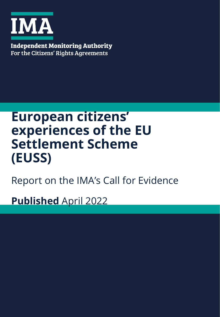

**Independent Monitoring Authority** For the Citizens' Rights Agreements

# **European citizens' experiences of the EU Settlement Scheme (EUSS)**

Report on the IMA's Call for Evidence

**Published** April 2022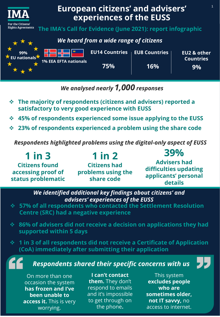

## *We analysed nearly 1,000 responses*

- ❖ **The majority of respondents (citizens and advisers) reported a satisfactory to very good experience with EUSS**
- ❖ **45% of respondents experienced some issue applying to the EUSS**
- ❖ **23% of respondents experienced a problem using the share code**

*Respondents highlighted problems using the digital-only aspect of EUSS*

**1 in 3 Citizens found accessing proof of status problematic 1 in 2 Citizens had problems using the share code 39% Advisers had difficulties updating applicants' personal details**

> *We identified additional key findings about citizens' and advisers' experiences of the EUSS*

- ❖ **57% of all respondents who contacted the Settlement Resolution Centre (SRC) had a negative experience**
- ❖ **86% of advisers did not receive a decision on applications they had supported within 5 days**
- ❖ **1 in 3 of all respondents did not receive a Certificate of Application (CoA) immediately after submitting their application**

*Respondents shared their specific concerns with us*

On more than one occasion the system **has frozen and I've been unable to access it.** This is very worrying.

**I can't contact them.** They don't respond to emails and it's impossible to get through on the phone**.**

This system **excludes people who are sometimes older, not IT savvy,** no access to internet.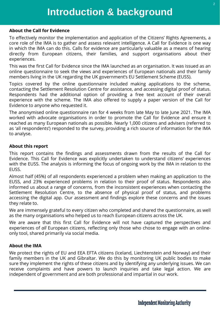#### **About the Call for Evidence**

To effectively monitor the implementation and application of the Citizens' Rights Agreements, a core role of the IMA is to gather and assess relevant intelligence. A Call for Evidence is one way in which the IMA can do this. Calls for evidence are particularly valuable as a means of hearing directly from European citizens, their families, and support organisations about their experiences.

This was the first Call for Evidence since the IMA launched as an organisation. It was issued as an online questionnaire to seek the views and experiences of European nationals and their family members living in the UK regarding the UK government's EU Settlement Scheme (EUSS).

Topics covered by the online questionnaire included making applications to the scheme, contacting the Settlement Resolution Centre for assistance, and accessing digital proof of status. Respondents had the additional option of providing a free text account of their overall experience with the scheme. The IMA also offered to supply a paper version of the Call for Evidence to anyone who requested it.

The anonymised online questionnaire ran for 4 weeks from late May to late June 2021. The IMA worked with advocate organisations in order to promote the Call for Evidence and ensure it reached as many European nationals as possible. Nearly 1,000 citizens and advisers (referred to as 'all respondents') responded to the survey, providing a rich source of information for the IMA to analyse.

#### **About this report**

This report contains the findings and assessments drawn from the results of the Call for Evidence. This Call for Evidence was explicitly undertaken to understand citizens' experiences with the EUSS. The analysis is informing the focus of ongoing work by the IMA in relation to the EUSS.

Almost half (45%) of all respondents experienced a problem when making an application to the EUSS, and 23% experienced problems in relation to their proof of status. Respondents also informed us about a range of concerns, from the inconsistent experiences when contacting the Settlement Resolution Centre, to the absence of physical proof of status, and problems accessing the digital app. Our assessment and findings explore these concerns and the issues they relate to.

We are immensely grateful to every citizen who completed and shared the questionnaire, as well as the many organisations who helped us to reach European citizens across the UK.

We are aware that this first Call for Evidence will not have captured the perspectives and experiences of *all* European citizens, reflecting only those who chose to engage with an onlineonly tool, shared primarily via social media.

#### **About the IMA**

We protect the rights of EU and EEA EFTA citizens (Iceland, Liechtenstein and Norway) and their family members in the UK and Gibraltar. We do this by monitoring UK public bodies to make sure they implement the rights of these citizens and by identifying any underlying issues. We can receive complaints and have powers to launch inquiries and take legal action. We are independent of government and are both professional and impartial in our work.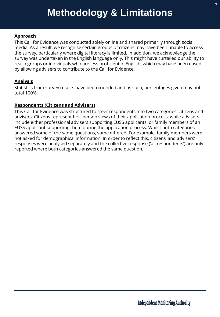#### **Approach**

This Call for Evidence was conducted solely online and shared primarily through social media. As a result, we recognise certain groups of citizens may have been unable to access the survey, particularly where digital literacy is limited. In addition, we acknowledge the survey was undertaken in the English language only. This might have curtailed our ability to reach groups or individuals who are less proficient in English, which may have been eased by allowing advisers to contribute to the Call for Evidence.

#### **Analysis**

Statistics from survey results have been rounded and as such, percentages given may not total 100%.

#### **Respondents (Citizens and Advisers)**

This Call for Evidence was structured to steer respondents into two categories: citizens and advisers. Citizens represent first-person views of their application process, while advisers include either professional advisers supporting EUSS applicants, or family members of an EUSS applicant supporting them during the application process. Whilst both categories answered some of the same questions, some differed. For example, family members were not asked for demographical information. In order to reflect this, citizens' and advisers' responses were analysed separately and the collective response ('all respondents') are only reported where both categories answered the same question.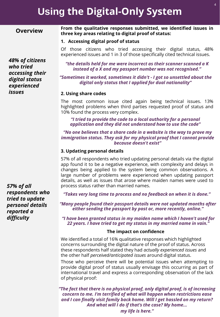## **Using the Digital-Only System**

#### **Overview**

*48% of citizens* 

*accessing their digital status experienced* 

*who tried* 

*issues*

#### **From the qualitative responses submitted, we identified issues in three key areas relating to digital proof of status:**

#### **1. Accessing digital proof of status**

Of those citizens who tried accessing their digital status, 48% experienced issues and 1 in 3 of those specifically cited technical issues.

*"the details held for me were incorrect as their scanner scanned a K instead of a X and my passport number was not recognised."*

*"Sometimes it worked, sometimes it didn't - I got so unsettled about the digital only status that I applied for dual nationality"*

#### **2. Using share codes**

The most common issue cited again being technical issues. 13% highlighted problems when third parties requested proof of status and 10% found the process very complex.

*"I tried to provide the code to a local authority for a personal application and they did not understand how to use the code"*

*"No one believes that a share code in a website is the way to prove my immigration status. They ask for my physical proof that I cannot provide because doesn't exist"*

#### **3. Updating personal details**

57% of all respondents who tried updating personal details via the digital app found it to be a negative experience, with complexity and delays in changes being applied to the system being common observations. A large number of problems were experienced when updating passport details, as well as issues that arose where maiden names were used to process status rather than married names.

*"Takes very long time to process and no feedback on when it is done."*

*"Many people found their passport details were not updated months after either sending the passport by post or, more recently, online."*

*"I have been granted status in my maiden name which I haven't used for 22 years. I have tried to get my status in my married name in vain."*

#### **The impact on confidence**

We identified a total of 16% qualitative responses which highlighted concerns surrounding the digital nature of the proof of status. Across these respondents half stated they had *actually experienced issues* and the other half *perceived/anticipated issues* around digital status.

Those who perceive there will be potential issues when attempting to provide digital proof of status usually envisage this occurring as part of international travel and express a corresponding observation of the lack of physical proof:

*"The fact that there is no physical proof, only digital proof, is of increasing concern to me. I'm terrified of what will happen when restrictions ease and I can finally visit family back home. Will I get hassled on my return? And what will I do if that's the case? My home...* 

*57% of all respondents who tried to update personal details reported a difficulty*

*my life is here."*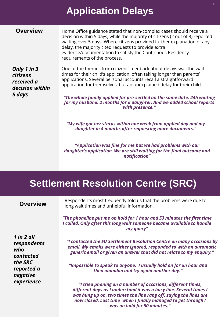## **Application Delays**

| <b>Overview</b> |  |
|-----------------|--|

Home Office guidance stated that non-complex cases should receive a decision within 5 days, while the majority of citizens (2 out of 3) reported waiting over 5 days. Where citizens provided further explanation of any delay, the majority cited requests to provide extra evidence/documentation to satisfy the Continuous Residency requirements of the process.

*Only 1 in 3 citizens received a decision within 5 days*

One of the themes from citizens' feedback about delays was the wait times for their child's application, often taking longer than parents' applications. Several personal accounts recall a straightforward application for themselves, but an unexplained delay for their child.

*"The whole family applied for pre-settled on the same date. 24h waiting for my husband. 2 months for a daughter. And we added school reports with presence."*

*"My wife got her status within one week from applied day and my daughter in 4 months after requesting more documents."*

*"Application was fine for me but we had problems with our daughter's application. We are still waiting for the final outcome and notification"*

*now closed. Last time when I finally managed to get through I was on hold for 50 minutes."*

## **Settlement Resolution Centre (SRC)**

| <b>Overview</b>                                   | Respondents most frequently told us that the problems were due to<br>long wait times and unhelpful information.                                                                                                       |
|---------------------------------------------------|-----------------------------------------------------------------------------------------------------------------------------------------------------------------------------------------------------------------------|
|                                                   | "The phoneline put me on hold for 1 hour and 53 minutes the first time<br>I called. Only after this long wait someone became available to handle<br>my query"                                                         |
| $1$ in $2$ all<br>respondents<br>who<br>contacted | "I contacted the EU Settlement Resolution Centre on many occasions by<br>email. My emails were either ignored, responded to with an automatic<br>generic email or given an answer that did not relate to my enquiry." |
| the SRC<br>reported a<br>negative                 | "Impossible to speak to anyone. I usually hold on for an hour and<br>then abandon and try again another day."                                                                                                         |
| experience                                        | "I tried phoning on a number of occasions, different times,<br>different days as I understand it was a busy line. Several times I<br>was hung up on, two times the line rang off, saying the lines are                |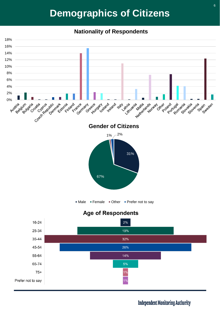## **Demographics of Citizens**

#### **Nationality of Respondents**



### **Independent Monitoring Authority**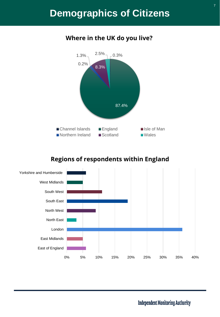## **Demographics of Citizens**



## **Where in the UK do you live?**

## **Regions of respondents within England**



**Independent Monitoring Authority**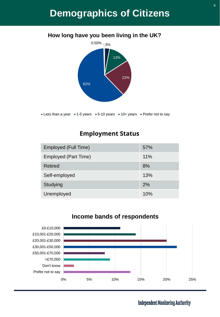## **Demographics of Citizens**



#### Less than a year  $\bullet$  1-5 years  $\bullet$  5-10 years  $\bullet$  10+ years  $\bullet$  Prefer not to say

#### **Employment Status**

| Employed (Full Time) | 57% |
|----------------------|-----|
| Employed (Part Time) | 11% |
| Retired              | 8%  |
| Self-employed        | 13% |
| Studying             | 2%  |
| Unemployed           | 10% |



#### **Income bands of respondents**

8

**Independent Monitoring Authority**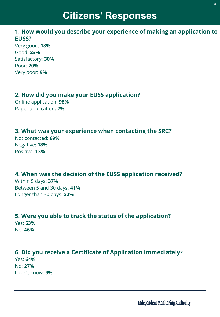## **Citizens' Responses**

#### **1. How would you describe your experience of making an application to EUSS?**

Very good: **18%**  Good: **23%**  Satisfactory: **30%**  Poor: **20%**  Very poor: **9%** 

### **2. How did you make your EUSS application?**

Online application: **98%**  Paper application**: 2%** 

### **3. What was your experience when contacting the SRC?**

Not contacted: **69%**  Negative**: 18%**  Positive: **13%** 

### **4. When was the decision of the EUSS application received?**

Within 5 days: **37%**  Between 5 and 30 days: **41%**  Longer than 30 days: **22%** 

### **5. Were you able to track the status of the application?**

Yes: **53%**  No: **46%** 

## **6. Did you receive a Certificate of Application immediately?**

Yes: **64%**  No: **27%**  I don't know: **9%**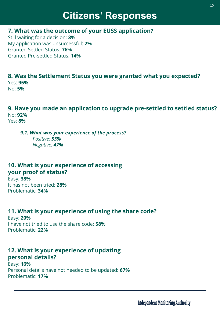## **Citizens' Responses**

### **7. What was the outcome of your EUSS application?**

Still waiting for a decision: **8%**  My application was unsuccessful: **2%**  Granted Settled Status: **76%**  Granted Pre-settled Status: **14%** 

### **8. Was the Settlement Status you were granted what you expected?** Yes: **95%**

No: **5%** 

#### **9. Have you made an application to upgrade pre-settled to settled status?** No: **92%**  Yes: **8%**

*9.1. What was your experience of the process? Positive: 53% Negative: 47%*

### **10. What is your experience of accessing your proof of status?**

Easy: **38%**  It has not been tried: **28%**  Problematic: **34%** 

## **11. What is your experience of using the share code?**

Easy: **20%**  I have not tried to use the share code: **58%**  Problematic: **22%** 

### **12. What is your experience of updating personal details?**

Easy: **16%**  Personal details have not needed to be updated: **67%**  Problematic: **17%**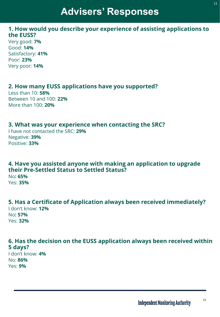## **Advisers' Responses**

#### **1. How would you describe your experience of assisting applications to the EUSS?**

Very good: **7%**  Good: **14%**  Satisfactory: **41%**  Poor: **23%**  Very poor: **14%** 

### **2. How many EUSS applications have you supported?**

Less than 10: **58%**  Between 10 and 100: **22%**  More than 100: **20%** 

#### **3. What was your experience when contacting the SRC?**

I have not contacted the SRC: **29%**  Negative: **39%**  Positive: **33%** 

#### **4. Have you assisted anyone with making an application to upgrade their Pre-Settled Status to Settled Status?** No**: 65%**

Yes: **35%** 

#### **5. Has a Certificate of Application always been received immediately?** I don't know: **12%**  No**: 57%**  Yes: **32%**

### **6. Has the decision on the EUSS application always been received within 5 days?**

I don't know: **4%**  No: **86%**  Yes: **9%**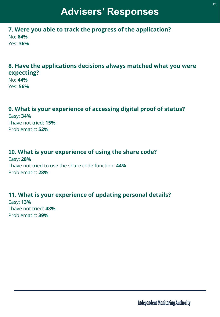## **Advisers' Responses**

**7. Were you able to track the progress of the application?** No: **64%**  Yes: **36%** 

### **8. Have the applications decisions always matched what you were expecting?**

No: **44%**  Yes: **56%** 

### **9. What is your experience of accessing digital proof of status?**

Easy: **34%**  I have not tried: **15%**  Problematic: **52%** 

#### **10. What is your experience of using the share code?**

Easy: **28%**  I have not tried to use the share code function: **44%** Problematic: **28%**

### **11. What is your experience of updating personal details?**

Easy: **13%** I have not tried: **48%**  Problematic: **39%**